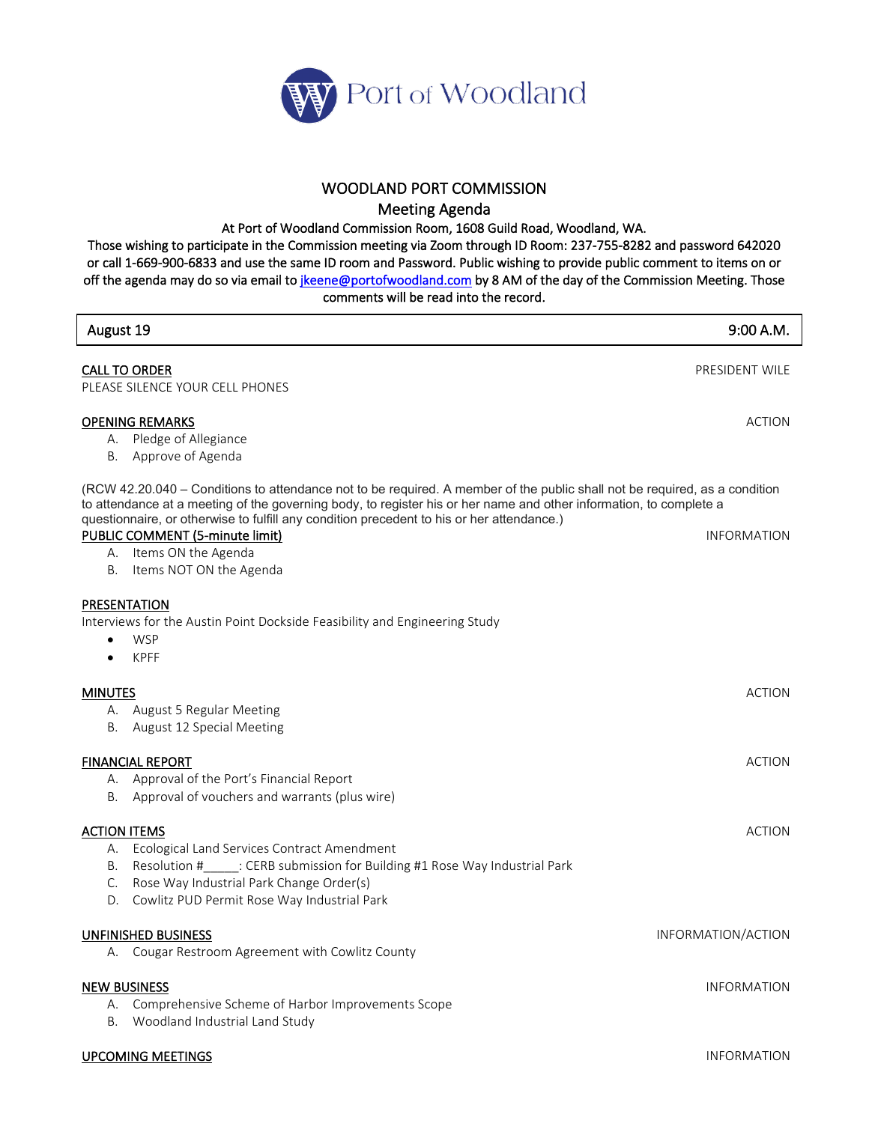

## WOODLAND PORT COMMISSION

Meeting Agenda

At Port of Woodland Commission Room, 1608 Guild Road, Woodland, WA.

Those wishing to participate in the Commission meeting via Zoom through ID Room: 237-755-8282 and password 642020 or call 1-669-900-6833 and use the same ID room and Password. Public wishing to provide public comment to items on or off the agenda may do so via email to *jkeene@portofwoodland.com* by 8 AM of the day of the Commission Meeting. Those comments will be read into the record.

| August 19                                                                                                                                                                                                                                                                                                                                                                                                                                   | 9:00 A.M.          |
|---------------------------------------------------------------------------------------------------------------------------------------------------------------------------------------------------------------------------------------------------------------------------------------------------------------------------------------------------------------------------------------------------------------------------------------------|--------------------|
| <b>CALL TO ORDER</b><br>PLEASE SILENCE YOUR CELL PHONES                                                                                                                                                                                                                                                                                                                                                                                     | PRESIDENT WILE     |
| <b>OPENING REMARKS</b><br>A. Pledge of Allegiance<br>Approve of Agenda<br>В.                                                                                                                                                                                                                                                                                                                                                                | <b>ACTION</b>      |
| (RCW 42.20.040 – Conditions to attendance not to be required. A member of the public shall not be required, as a condition<br>to attendance at a meeting of the governing body, to register his or her name and other information, to complete a<br>questionnaire, or otherwise to fulfill any condition precedent to his or her attendance.)<br>PUBLIC COMMENT (5-minute limit)<br>A. Items ON the Agenda<br>Items NOT ON the Agenda<br>В. | <b>INFORMATION</b> |
| PRESENTATION<br>Interviews for the Austin Point Dockside Feasibility and Engineering Study<br><b>WSP</b><br>$\bullet$<br><b>KPFF</b><br>$\bullet$                                                                                                                                                                                                                                                                                           |                    |
| <b>MINUTES</b><br>A. August 5 Regular Meeting<br>B. August 12 Special Meeting                                                                                                                                                                                                                                                                                                                                                               | <b>ACTION</b>      |
| <b>FINANCIAL REPORT</b><br>A. Approval of the Port's Financial Report<br>B. Approval of vouchers and warrants (plus wire)                                                                                                                                                                                                                                                                                                                   | <b>ACTION</b>      |
| <b>ACTION ITEMS</b><br>A. Ecological Land Services Contract Amendment<br>B. Resolution # : CERB submission for Building #1 Rose Way Industrial Park<br>Rose Way Industrial Park Change Order(s)<br>C.<br>D. Cowlitz PUD Permit Rose Way Industrial Park                                                                                                                                                                                     | <b>ACTION</b>      |
| UNFINISHED BUSINESS<br>Cougar Restroom Agreement with Cowlitz County<br>А.                                                                                                                                                                                                                                                                                                                                                                  | INFORMATION/ACTION |
| <b>NEW BUSINESS</b><br>Comprehensive Scheme of Harbor Improvements Scope<br>А.<br>Woodland Industrial Land Study<br>B.                                                                                                                                                                                                                                                                                                                      | <b>INFORMATION</b> |

**UPCOMING MEETINGS INFORMATION**